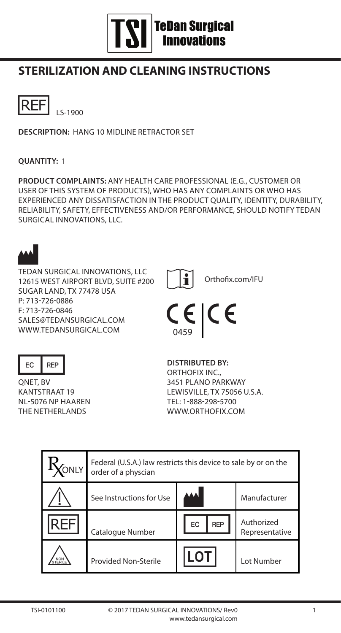# **TSI** TeDan Surgical

## **STERILIZATION AND CLEANING INSTRUCTIONS**



**DESCRIPTION:** HANG 10 MIDLINE RETRACTOR SET

#### **QUANTITY:** 1

**PRODUCT COMPLAINTS:** ANY HEALTH CARE PROFESSIONAL (E.G., CUSTOMER OR USER OF THIS SYSTEM OF PRODUCTS), WHO HAS ANY COMPLAINTS OR WHO HAS EXPERIENCED ANY DISSATISFACTION IN THE PRODUCT QUALITY, IDENTITY, DURABILITY, RELIABILITY, SAFETY, EFFECTIVENESS AND/OR PERFORMANCE, SHOULD NOTIFY TEDAN SURGICAL INNOVATIONS, LLC.



EC REP<br>ONET, BV KANTSTRAAT 19 NL-5076 NP HAAREN THE NETHERLANDS

**DISTRIBUTED BY:** ORTHOFIX INC., 3451 PLANO PARKWAY LEWISVILLE, TX 75056 U.S.A. TEL: 1-888-298-5700 WWW.ORTHOFIX.COM

|              | Federal (U.S.A.) law restricts this device to sale by or on the<br>order of a physcian |                  |                              |
|--------------|----------------------------------------------------------------------------------------|------------------|------------------------------|
|              | See Instructions for Use                                                               |                  | Manufacturer                 |
|              | Catalogue Number                                                                       | <b>REP</b><br>EC | Authorized<br>Representative |
| NON<br>TERIL | Provided Non-Sterile                                                                   |                  | Lot Number                   |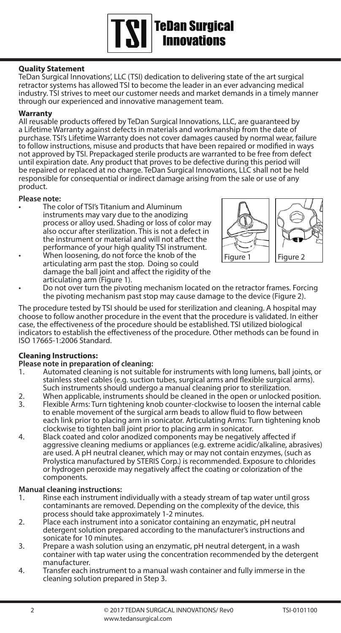#### **Quality Statement**

TeDan Surgical Innovations', LLC (TSI) dedication to delivering state of the art surgical retractor systems has allowed TSI to become the leader in an ever advancing medical industry. TSI strives to meet our customer needs and market demands in a timely manner through our experienced and innovative management team.

**Sama Surgical<br>Samo Surgical**<br>Samo Vations

#### **Warranty**

All reusable products offered by TeDan Surgical Innovations, LLC, are guaranteed by a Lifetime Warranty against defects in materials and workmanship from the date of purchase. TSI's Lifetime Warranty does not cover damages caused by normal wear, failure to follow instructions, misuse and products that have been repaired or modified in ways not approved by TSI. Prepackaged sterile products are warranted to be free from defect until expiration date. Any product that proves to be defective during this period will be repaired or replaced at no charge. TeDan Surgical Innovations, LLC shall not be held responsible for consequential or indirect damage arising from the sale or use of any product.

#### **Please note:**

- The color of TSI's Titanium and Aluminum instruments may vary due to the anodizing process or alloy used. Shading or loss of color may also occur after sterilization. This is not a defect in the instrument or material and will not affect the performance of your high quality TSI instrument.
- When loosening, do not force the knob of the articulating arm past the stop. Doing so could damage the ball joint and affect the rigidity of the articulating arm (Figure 1).
- Do not over turn the pivoting mechanism located on the retractor frames. Forcing the pivoting mechanism past stop may cause damage to the device (Figure 2).

The procedure tested by TSI should be used for sterilization and cleaning. A hospital may choose to follow another procedure in the event that the procedure is validated. In either case, the effectiveness of the procedure should be established. TSI utilized biological indicators to establish the effectiveness of the procedure. Other methods can be found in ISO 17665-1:2006 Standard.

#### **Cleaning Instructions:**

# **Please note in preparation of cleaning:**

- Automated cleaning is not suitable for instruments with long lumens, ball joints, or stainless steel cables (e.g. suction tubes, surgical arms and flexible surgical arms). Such instruments should undergo a manual cleaning prior to sterilization.
- 2. When applicable, instruments should be cleaned in the open or unlocked position.<br>3 Elexible Arms: Turn tightening knob counter-clockwise to loosen the internal cable
- Flexible Arms: Turn tightening knob counter-clockwise to loosen the internal cable to enable movement of the surgical arm beads to allow fluid to flow between each link prior to placing arm in sonicator. Articulating Arms: Turn tightening knob<br>clockwise to tighten ball joint prior to placing arm in sonicator.
- 4. Black coated and color anodized components may be negatively affected if aggressive cleaning mediums or appliances (e.g. extreme acidic/alkaline, abrasives) are used. A pH neutral cleaner, which may or may not contain enzymes, (such as Prolystica manufactured by STERIS Corp.) is recommended. Exposure to chlorides or hydrogen peroxide may negatively affect the coating or colorization of the components.

# **Manual cleaning instructions:**<br>1. Rinse each instrument in

- Rinse each instrument individually with a steady stream of tap water until gross contaminants are removed. Depending on the complexity of the device, this<br>process should take approximately 1-2 minutes.
- 2. Place each instrument into a sonicator containing an enzymatic, pH neutral detergent solution prepared according to the manufacturer's instructions and
- 3. Prepare a wash solution using an enzymatic, pH neutral detergent, in a wash container with tap water using the concentration recommended by the detergent
- 4. Transfer each instrument to a manual wash container and fully immerse in the cleaning solution prepared in Step 3.

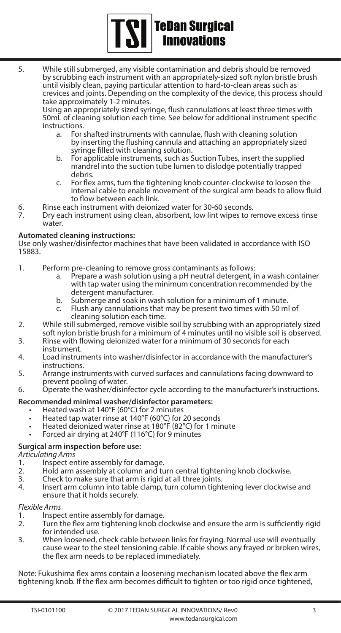# **TSI** TeDan Surgical

5. While still submerged, any visible contamination and debris should be removed by scrubbing each instrument with an appropriately-sized soft nylon bristle brush until visibly clean, paying particular attention to hard-to-clean areas such as crevices and joints. Depending on the complexity of the device, this process should take approximately 1-2 minutes.

Using an appropriately sized syringe, flush cannulations at least three times with 50mL of cleaning solution each time. See below for additional instrument specific

- a. For shafted instruments with cannulae, flush with cleaning solution by inserting the flushing cannula and attaching an appropriately sized syringe filled with cleaning solution.
- b. For applicable instruments, such as Suction Tubes, insert the supplied mandrel into the suction tube lumen to dislodge potentially trapped
- For flex arms, turn the tightening knob counter-clockwise to loosen the internal cable to enable movement of the surgical arm beads to allow fluid<br>to flow between each link.
- 
- to flow between each instrument with deionized water for 30-60 seconds.<br>6. Dry each instrument using clean, absorbent, low lint wipes to remove excess rinse water.

#### **Automated cleaning instructions:**

Use only washer/disinfector machines that have been validated in accordance with ISO 15883.

- 1. Perform pre-cleaning to remove gross contaminants as follows: a. Prepare a wash solution using a pH neutral detergent, in a wash container
	- with tap water using the minimum concentration recommended by the detergent manufacturer.
	-
	- b. Submerge and soak in wash solution for a minimum of 1 minute.<br>c. Flush any cannulations that may be present two times with 50 ml of<br>cleaning solution each time.
- 2. While still submerged, remove visible soil by scrubbing with an appropriately sized<br>soft nylon bristle brush for a minimum of 4 minutes until no visible soil is observed.
- 3. Rinse with flowing deionized water for a minimum of 30 seconds for each<br>instrument
- 4. Load instruments into washer/disinfector in accordance with the manufacturer's<br>instructions
- 5. Arrange instruments with curved surfaces and cannulations facing downward to<br>prevent pooling of water.
- 6. Operate the washer/disinfector cycle according to the manufacturer's instructions.

#### **Recommended minimal washer/disinfector parameters:**

- Heated wash at 140°F (60°C) for 2 minutes
- Heated tap water rinse at 140°F (60°C) for 20 seconds
- Heated deionized water rinse at 180°F (82°C) for 1 minute
- Forced air drying at 240°F (116°C) for 9 minutes

### **Surgical arm inspection before use:**

- *Articulating Arms*  1. Inspect entire assembly for damage.<br>2 Hold arm assembly at column and tu
- 2. Hold arm assembly at column and turn central tightening knob clockwise.<br>3. Check to make sure that arm is rigid at all three joints
- 3. Check to make sure that arm is rigid at all three joints.
- Insert arm column into table clamp, turn column tightening lever clockwise and ensure that it holds securely.

## *Flexible Arms*

- 1. Inspect entire assembly for damage.<br>2. Turn the flex arm tightening knob ck
- Turn the flex arm tightening knob clockwise and ensure the arm is sufficiently rigid for intended use.
- 3. When loosened, check cable between links for fraying. Normal use will eventually cause wear to the steel tensioning cable. If cable shows any frayed or broken wires, the flex arm needs to be replaced immediately.

Note: Fukushima flex arms contain a loosening mechanism located above the flex arm tightening knob. If the flex arm becomes difficult to tighten or too rigid once tightened,